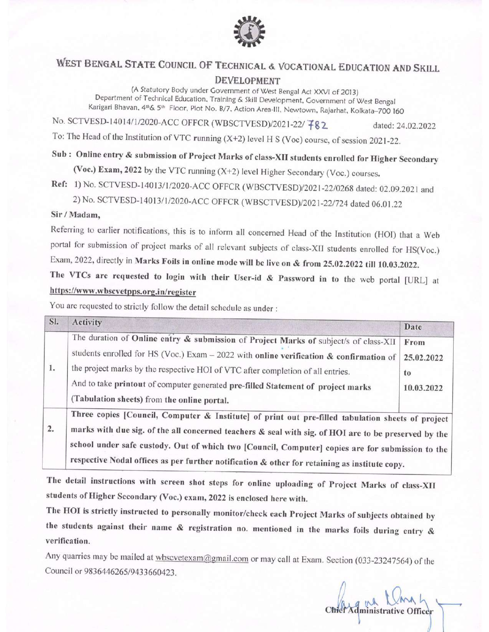

# WEST BENGAL STATE COUNCIL OF TECHNICAL & VOCATIONAL EDUCATION AND SKILL

#### **DEVELOPMENT**

(A Statutory Body under Government of West Bengal Act XXVI of 2013) Department of Technical Education, Training & Skill Development, Government of West Bengal Karigari Bhavan, 4th& 5th Floor, Plot No. B/7, Action Area-III, Newtown, Rajarhat, Kolkata-700 160

No. SCTVESD-14014/1/2020-ACC OFFCR (WBSCTVESD)/2021-22/ 782

dated: 24.02.2022

To: The Head of the Institution of VTC running  $(X+2)$  level H S (Voc) course, of session 2021-22.

# Sub: Online entry & submission of Project Marks of class-XII students enrolled for Higher Secondary

(Voc.) Exam, 2022 by the VTC running (X+2) level Higher Secondary (Voc.) courses.

Ref: 1) No. SCTVESD-14013/1/2020-ACC OFFCR (WBSCTVESD)/2021-22/0268 dated: 02.09.2021 and

2) No. SCTVESD-14013/1/2020-ACC OFFCR (WBSCTVESD)/2021-22/724 dated 06.01.22

#### Sir / Madam,

Referring to earlier notifications, this is to inform all concerned Head of the Institution (HOI) that a Web portal for submission of project marks of all relevant subjects of class-XII students enrolled for HS(Voc.) Exam, 2022, directly in Marks Foils in online mode will be live on & from 25.02.2022 till 10.03.2022.

The VTCs are requested to login with their User-id & Password in to the web portal [URL] at https://www.wbscvetpps.org.in/register

You are requested to strictly follow the detail schedule as under :

| SI. | Activity                                                                                                                                                                                                                                                                                                                                                                                                       | Date                                   |
|-----|----------------------------------------------------------------------------------------------------------------------------------------------------------------------------------------------------------------------------------------------------------------------------------------------------------------------------------------------------------------------------------------------------------------|----------------------------------------|
| 1.  | The duration of Online entry & submission of Project Marks of subject/s of class-XII<br>students enrolled for HS (Voc.) Exam $-2022$ with online verification & confirmation of<br>the project marks by the respective HOI of VTC after completion of all entries.<br>And to take printout of computer generated pre-filled Statement of project marks<br>(Tabulation sheets) from the online portal.          | From<br>25.02.2022<br>to<br>10.03.2022 |
| 2.  | Three copies [Council, Computer & Institute] of print out pre-filled tabulation sheets of project<br>marks with due sig. of the all concerned teachers & seal with sig. of HOI are to be preserved by the<br>school under safe custody. Out of which two [Council, Computer] copies are for submission to the<br>respective Nodal offices as per further notification & other for retaining as institute copy. |                                        |

The detail instructions with screen shot steps for online uploading of Project Marks of class-XII students of Higher Secondary (Voc.) exam, 2022 is enclosed here with.

The HOI is strictly instructed to personally monitor/check each Project Marks of subjects obtained by the students against their name & registration no. mentioned in the marks foils during entry & verification.

Any quarries may be mailed at wbscvetexam@gmail.com or may call at Exam. Section (033-23247564) of the Council or 9836446265/9433660423.

Officer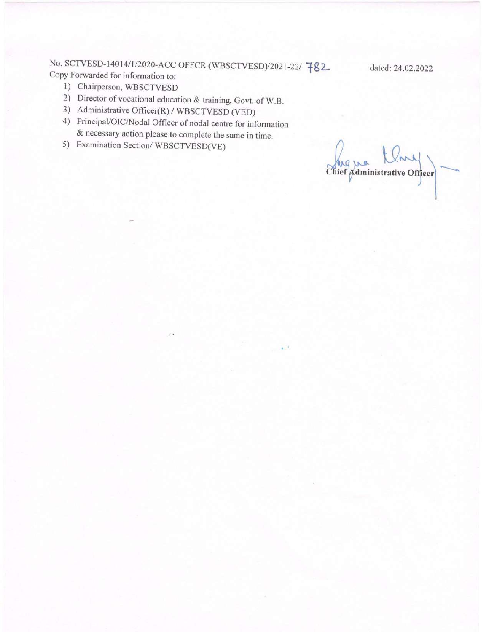No. SCTVESD-14014/1/2020-ACC OFFCR (WBSCTVESD)/2021-22/ 782 Copy Forwarded for information to:

- 1) Chairperson, WBSCTVESD
- 2) Director of vocational education & training, Govt. of W.B.
- 3) Administrative Officer(R) / WBSCTVESD (VED)
- 4) Principal/OIC/Nodal Officer of nodal centre for information & necessary action please to complete the same in time.
- 5) Examination Section/WBSCTVESD(VE)

ug vo Chief Administrative Officer

dated: 24.02.2022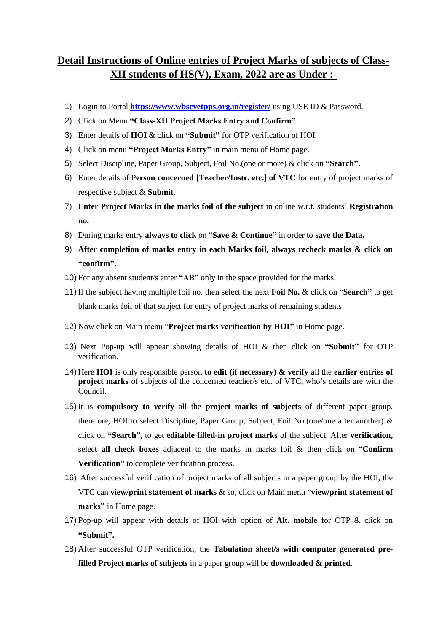## **Detail Instructions of Online entries of Project Marks of subjects of Class-XII students of HS(V), Exam, 2022 are as Under :-**

- 1) Login to Portal **<https://www.wbscvetpps.org.in/register/>** using USE ID & Password.
- 2) Click on Menu **"Class-XII Project Marks Entry and Confirm"**
- 3) Enter details of **HOI** & click on **"Submit"** for OTP verification of HOI.
- 4) Click on menu **"Project Marks Entry"** in main menu of Home page.
- 5) Select Discipline, Paper Group, Subject, Foil No.(one or more) & click on **"Search".**
- 6) Enter details of P**erson concerned [Teacher/Instr. etc.] of VTC** for entry of project marks of respective subject & **Submit**.
- 7) **Enter Project Marks in the marks foil of the subject** in online w.r.t. students' **Registration no.**
- 8) During marks entry **always to click** on "**Save & Continue"** in order to **save the Data.**
- 9) **After completion of marks entry in each Marks foil, always recheck marks & click on "confirm".**
- 10) For any absent student/s enter **"AB"** only in the space provided for the marks.
- 11) If the subject having multiple foil no. then select the next **Foil No.** & click on "**Search"** to get blank marks foil of that subject for entry of project marks of remaining students.
- 12) Now click on Main menu "**Project marks verification by HOI"** in Home page.
- 13) Next Pop-up will appear showing details of HOI & then click on **"Submit"** for OTP verification.
- 14) Here **HOI** is only responsible person **to edit (if necessary) & verify** all the **earlier entries of project marks** of subjects of the concerned teacher/s etc. of VTC, who's details are with the Council.
- 15) It is **compulsory to verify** all the **project marks of subjects** of different paper group, therefore, HOI to select Discipline, Paper Group, Subject, Foil No.(one/one after another) & click on **"Search",** to get **editable filled-in project marks** of the subject. After **verification,** select **all check boxes** adjacent to the marks in marks foil & then click on "**Confirm Verification"** to complete verification process.
- 16) After successful verification of project marks of all subjects in a paper group by the HOI, the VTC can **view/print statement of marks** & so, click on Main menu "**view/print statement of marks"** in Home page.
- 17) Pop-up will appear with details of HOI with option of **Alt. mobile** for OTP & click on **"Submit".**
- 18) After successful OTP verification, the **Tabulation sheet/s with computer generated prefilled Project marks of subjects** in a paper group will be **downloaded & printed**.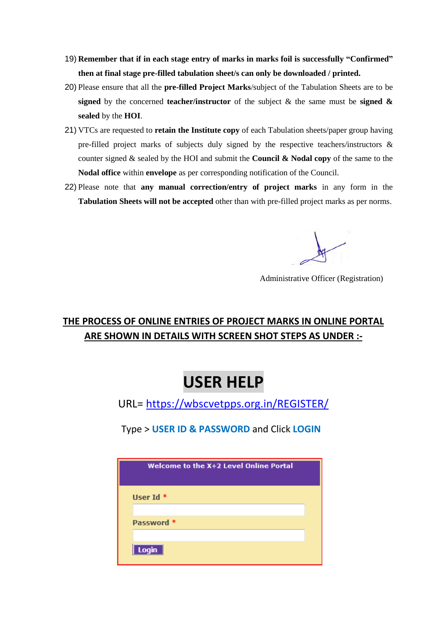- 19) **Remember that if in each stage entry of marks in marks foil is successfully "Confirmed" then at final stage pre-filled tabulation sheet/s can only be downloaded / printed.**
- 20) Please ensure that all the **pre-filled Project Marks**/subject of the Tabulation Sheets are to be **signed** by the concerned **teacher/instructor** of the subject & the same must be **signed & sealed** by the **HOI**.
- 21) VTCs are requested to **retain the Institute copy** of each Tabulation sheets/paper group having pre-filled project marks of subjects duly signed by the respective teachers/instructors & counter signed & sealed by the HOI and submit the **Council & Nodal copy** of the same to the **Nodal office** within **envelope** as per corresponding notification of the Council.
- 22) Please note that **any manual correction/entry of project marks** in any form in the **Tabulation Sheets will not be accepted** other than with pre-filled project marks as per norms.

Administrative Officer (Registration)

# **THE PROCESS OF ONLINE ENTRIES OF PROJECT MARKS IN ONLINE PORTAL ARE SHOWN IN DETAILS WITH SCREEN SHOT STEPS AS UNDER :-**

# **USER HELP**

URL=<https://wbscvetpps.org.in/REGISTER/>

Type > **USER ID & PASSWORD** and Click **LOGIN**

| Welcome to the X+2 Level Online Portal |  |
|----------------------------------------|--|
| User Id $*$                            |  |
| Password *                             |  |
| Login                                  |  |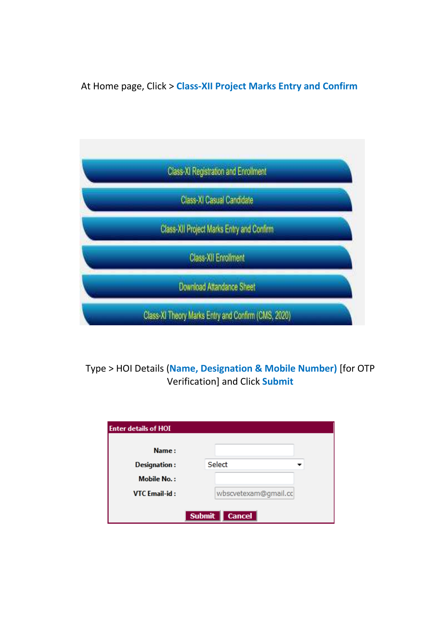At Home page, Click > **Class-XII Project Marks Entry and Confirm** 



# Type > HOI Details (**Name, Designation & Mobile Number)** [for OTP Verification] and Click **Submit**

| <b>Enter details of HOI</b> |                                |
|-----------------------------|--------------------------------|
| Name:                       |                                |
| <b>Designation:</b>         | Select                         |
| <b>Mobile No.:</b>          |                                |
| VTC Email-id:               | wbscvetexam@gmail.cc           |
|                             | <b>Submit</b><br><b>Cancel</b> |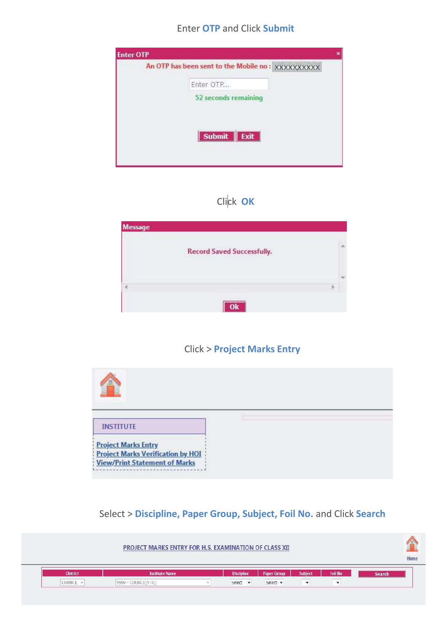#### Enter OTP and Click Submit



# Click OK

| Message |                                   |  |
|---------|-----------------------------------|--|
|         | <b>Record Saved Successfully.</b> |  |
|         |                                   |  |
|         |                                   |  |

#### Click > Project Marks Entry



# Select > Discipline, Paper Group, Subject, Foil No. and Click Search

| Foil No<br>Subject<br><b>Discipline</b><br><b>District</b><br><b>Institute Name</b><br><b>Paper Group</b><br>Search |  |  |  | PROJECT MARKS ENTRY FOR H.S. EXAMINATION OF CLASS XII |  |
|---------------------------------------------------------------------------------------------------------------------|--|--|--|-------------------------------------------------------|--|
|                                                                                                                     |  |  |  |                                                       |  |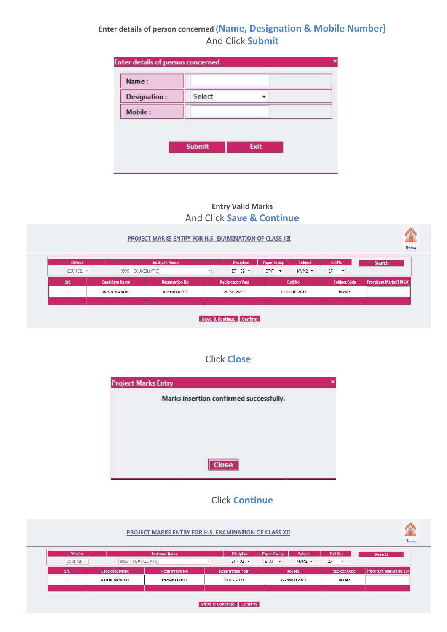## Enter details of person concerned (Name, Designation & Mobile Number) And Click Submit

| Select<br>Designation: |  |
|------------------------|--|
| Mobile:                |  |

#### Entry Valid Marks And Click Save & Continue

#### PROJECT MARKS ENTRY FOR H.S. EXAMINATION OF CLASS XII



|           | <b>District</b><br><b>Institute Name</b>           |                                              | <b>Discipline</b>                                    | <b>Paper Group</b> | Subject                                            | Foil No |                          | Search                         |
|-----------|----------------------------------------------------|----------------------------------------------|------------------------------------------------------|--------------------|----------------------------------------------------|---------|--------------------------|--------------------------------|
| COUNCIL - | 9999 - COUNCIL(VTC)                                |                                              | $ET - 02$ $\blacktriangledown$                       | ETAT +             | $MVM2$ $\star$                                     | 27      | $\overline{\phantom{a}}$ |                                |
| Srl.      | <b>Candidate Name</b>                              | <b>Registration No</b>                       | <b>Registration Year</b>                             |                    | Roll No.                                           |         | <b>Subject Code</b>      | <b>Practicum Marks [FM 10]</b> |
|           | ANGELES AND THE TELEVISIONS<br><b>ARJUN MONDAL</b> | <b>CONTRACTOR CONTRACTOR</b><br>162546112013 | and the contract of the contract of<br>$2020 - 2021$ |                    | Senator and control to the control<br>172546112013 |         | MVM <sub>2</sub>         |                                |
|           |                                                    |                                              |                                                      |                    |                                                    |         |                          |                                |

### Click Close

| <b>Project Marks Entry</b>              |  |
|-----------------------------------------|--|
| Marks insertion confirmed successfully. |  |
|                                         |  |
|                                         |  |
|                                         |  |
| Close                                   |  |

#### Click Continue

| <b>District</b> |                       | <b>Institute Name</b>  | <b>Discipline</b>        | Subject<br><b>Paper Group</b>     | <b>Foil No</b>      | Search                         |
|-----------------|-----------------------|------------------------|--------------------------|-----------------------------------|---------------------|--------------------------------|
| COUNCIL -       | 9999 - COUNCIL(VTC)   |                        | $ET - 02$ *              | ETAT *<br>$MVM2$ $\star$          | 27<br>⊶             |                                |
| SrL             | <b>Candidate Name</b> | <b>Registration No</b> | <b>Registration Year</b> | Roll No.                          | <b>Subject Code</b> | <b>Practicum Marks [FM 10]</b> |
|                 | <b>ARJUN MONDAL</b>   | 162546112013           | $2020 - 2021$            | ANDREW CONTROLLER<br>172546112013 | NIVM <sub>2</sub>   |                                |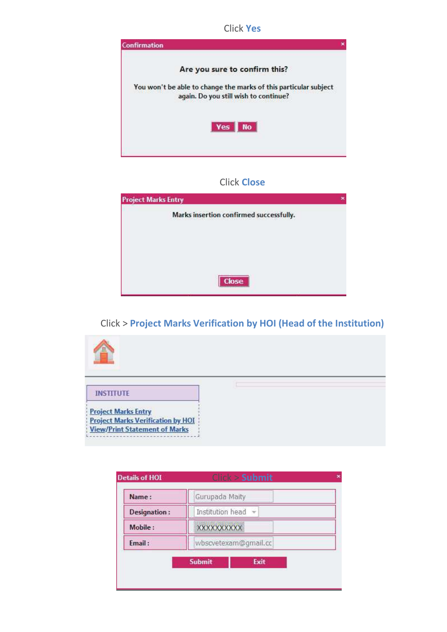Click Yes



#### Click Close

| <b>Project Marks Entry</b> |                                         |  |
|----------------------------|-----------------------------------------|--|
|                            | Marks insertion confirmed successfully. |  |
|                            |                                         |  |
|                            |                                         |  |
|                            |                                         |  |
|                            | <b>Close</b>                            |  |

#### Click > Project Marks Verification by HOI (Head of the Institution)



| Institution head<br>Designation:<br><b>XXXXXXXXXX</b> |
|-------------------------------------------------------|
| Mobile:                                               |
|                                                       |
| wbscvetexam@gmail.cc<br>Email:                        |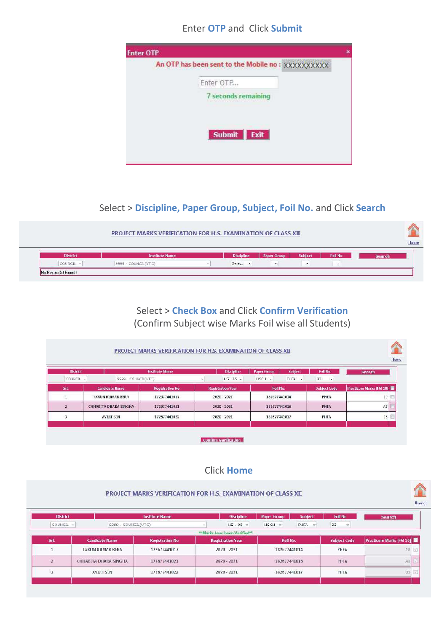#### Enter OTP and Click Submit



### Select > Discipline, Paper Group, Subject, Foil No. and Click Search

| <b>District</b> | <b>Institute Name</b> | <b>Discipline</b> | <b>Paper Group</b>       | Subject       | Foil No | Search |
|-----------------|-----------------------|-------------------|--------------------------|---------------|---------|--------|
| COUNCIL -       | 9999 - COUNCIL (YTC)  | Select +          | $\overline{\phantom{a}}$ | $\rightarrow$ | ٠.      |        |

## Select > Check Box and Click Confirm Verification (Confirm Subject wise Marks Foil wise all Students)

| <b>Search</b>           | Foil No              | Subject<br>Paper Group | <b>Discipline</b>        | <b>Institute Name</b>  | <b>District</b>         |              |
|-------------------------|----------------------|------------------------|--------------------------|------------------------|-------------------------|--------------|
|                         | 33<br>$\overline{ }$ | HSCH +<br>PHFA -       | $HS - 05$ $\star$        |                        | 9999 - COUNCE (VTC)     | COUNCIL      |
| Practicum Marks [FM 10] | <b>Subject Code</b>  | Roll No.               | <b>Registration Year</b> | <b>Registration No</b> | <b>Candidate Name</b>   | Srl.         |
| 10.                     | PHFA                 | 182677441014           | $2020 - 2021$            | 172677441017           | <b>TARUN KUMAR BERA</b> |              |
| AB                      | PHFA                 | 182677441016           | 2020 - 2021              | 172677441021           | CHHABITA DHARA SINGHA   | $\mathbf{z}$ |
| 05                      | PHFA                 | 182677441017           | 2020 - 2021              | 172677441022           | <b>AVULT SEN</b>        |              |

#### Click Home

#### PROJECT MARKS VERIFICATION FOR H.S. EXAMINATION OF CLASS XII H<sub>o</sub> District **Institute Nar** Discipline Paper Group Subject Foil No Search COUNCIL -9999 - COUNCIL(VTC)  $HS - 05$   $\star$  $HSCH$   $\rightarrow$  $PHFA$   $\rightarrow$ 33 Ψ "Marks have been Verified" **Practicum Marks [FM 10]** SH **Candidate Name Registration No Registration Year Roll No. Subject Code**  $\mathbf 1$ **TARUN KUMAK BERA** 1/26//44101/ 2020 - 2021 182b//441014 PHFA  $10$ CHHABITA DHARA SINGHA 172677441021 2020 - 2021 182677441016 PHFA  $AB$  $\overline{z}$ 172677441022 182677441017  $05$ **IV**  $\overline{a}$ **AVULT SEN** 2020 - 2021 PHFA